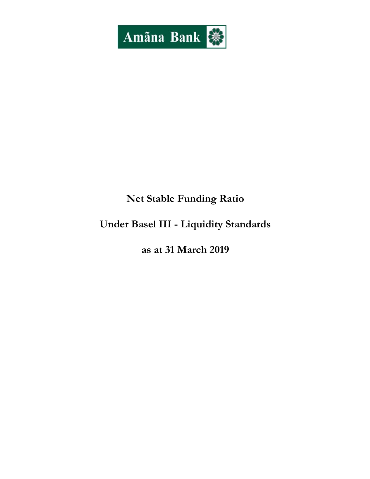

# Net Stable Funding Ratio

# Under Basel III - Liquidity Standards

as at 31 March 2019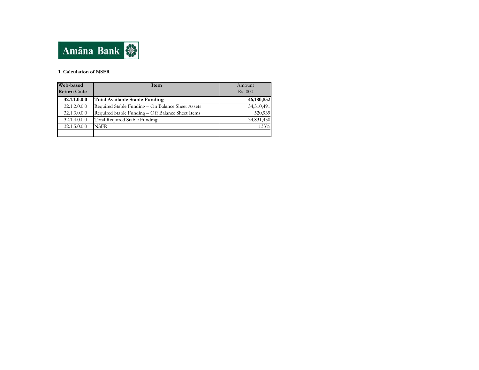

#### 1. Calculation of NSFR

| Web-based<br><b>Return Code</b> | <b>Item</b>                                       | Amount<br><b>Rs.</b> 000 |
|---------------------------------|---------------------------------------------------|--------------------------|
| 32.1.1.0.0.0                    | Total Available Stable Funding                    | 46,180,832               |
| 32.1.2.0.0.0                    | Required Stable Funding - On Balance Sheet Assets | 34,310,491               |
| 32.1.3.0.0.0                    | Required Stable Funding - Off Balance Sheet Items | 520,939                  |
| 32.1.4.0.0.0                    | Total Required Stable Funding                     | 34,831,430               |
| 32.1.5.0.0.0                    | NSFR                                              | 133%                     |
|                                 |                                                   |                          |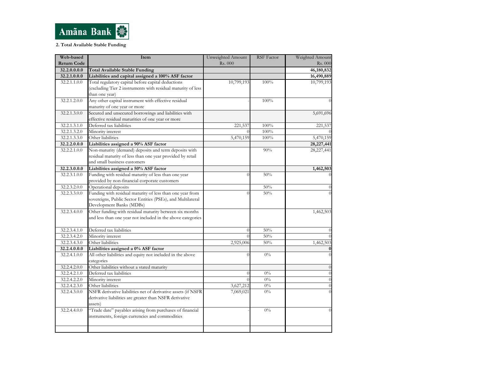

#### 2. Total Available Stable Funding

| Web-based          | Item                                                                    | Unweighted Amount | <b>RSF</b> Factor | Weighted Amount            |
|--------------------|-------------------------------------------------------------------------|-------------------|-------------------|----------------------------|
| <b>Return Code</b> |                                                                         | Rs. 000           |                   | Rs. 000                    |
| 32.2.0.0.0.0       | <b>Total Available Stable Funding</b>                                   |                   |                   | 46,180,832                 |
| 32.2.1.0.0.0       | Liabilities and capital assigned a 100% ASF factor                      |                   |                   | 16,490,889                 |
| 32.2.1.1.0.0       | Total regulatory capital before capital deductions                      | 10,799,193        | 100%              | 10,799,193                 |
|                    | (excluding Tier 2 instruments with residual maturity of less            |                   |                   |                            |
|                    | than one year)                                                          |                   |                   |                            |
| 32.2.1.2.0.0       | Any other capital instrument with effective residual                    |                   | 100%              |                            |
|                    | maturity of one year or more                                            |                   |                   |                            |
| 32.2.1.3.0.0       | Secured and unsecured borrowings and liabilities with                   |                   |                   | 5,691,696                  |
|                    | effective residual maturities of one year or more                       |                   |                   |                            |
| 32.2.1.3.1.0       | Deferred tax liabilities                                                | 221,537           | 100%              | 221,537                    |
| 32.2.1.3.2.0       | Minority interest                                                       |                   | 100%              |                            |
| 32.2.1.3.3.0       | Other liabilities                                                       | 5,470,159         | 100%              | 5,470,159                  |
| 32.2.2.0.0.0       | Liabilities assigned a 90% ASF factor                                   |                   |                   | 28,227,441                 |
| 32.2.2.1.0.0       | Non-maturity (demand) deposits and term deposits with                   |                   | 90%               | 28,227,441                 |
|                    | residual maturity of less than one year provided by retail              |                   |                   |                            |
|                    | and small business customers                                            |                   |                   |                            |
| 32.2.3.0.0.0       | Liabilities assigned a 50% ASF factor                                   |                   |                   | 1,462,503                  |
| 32.2.3.1.0.0       | Funding with residual maturity of less than one year                    | $\theta$          | 50%               |                            |
|                    | provided by non-financial corporate customers                           |                   |                   |                            |
| 32.2.3.2.0.0       | Operational deposits                                                    |                   | 50%               |                            |
| 32.2.3.3.0.0       | Funding with residual maturity of less than one year from               | $\overline{0}$    | 50%               |                            |
|                    | sovereigns, Public Sector Entities (PSEs), and Multilateral             |                   |                   |                            |
|                    | Development Banks (MDBs)                                                |                   |                   |                            |
| 32.2.3.4.0.0       | Other funding with residual maturity between six months                 |                   |                   | 1,462,503                  |
|                    | and less than one year not included in the above categories             |                   |                   |                            |
|                    |                                                                         |                   |                   |                            |
| 32.2.3.4.1.0       | Deferred tax liabilities                                                | $\overline{0}$    | 50%               |                            |
| 32.2.3.4.2.0       | Minority interest                                                       |                   | 50%               |                            |
| 32.2.3.4.3.0       | Other liabilities                                                       | 2,925,006         | 50%               | 1,462,503                  |
| 32.2.4.0.0.0       | Liabilities assigned a 0% ASF factor                                    |                   |                   |                            |
| 32.2.4.1.0.0       | All other liabilities and equity not included in the above              | $\theta$          | $0\%$             |                            |
|                    | categories                                                              |                   |                   |                            |
| 32.2.4.2.0.0       | Other liabilities without a stated maturity<br>Deferred tax liabilities |                   |                   | $\overline{0}$<br>$\Omega$ |
| 32.2.4.2.1.0       |                                                                         | $\theta$          | $0\%$             |                            |
| 32.2.4.2.2.0       | Minority interest                                                       |                   | $0\%$             | $\theta$                   |
| 32.2.4.2.3.0       | Other liabilities                                                       | 3,627,212         | $0\%$             | $\theta$                   |
| 32.2.4.3.0.0       | NSFR derivative liabilities net of derivative assets (if NSFR           | 7,069,021         | $0\%$             |                            |
|                    | derivative liabilities are greater than NSFR derivative                 |                   |                   |                            |
|                    | assets)                                                                 |                   |                   |                            |
| 32.2.4.4.0.0       | "Trade date" payables arising from purchases of financial               |                   | $0\%$             |                            |
|                    | instruments, foreign currencies and commodities                         |                   |                   |                            |
|                    |                                                                         |                   |                   |                            |
|                    |                                                                         |                   |                   |                            |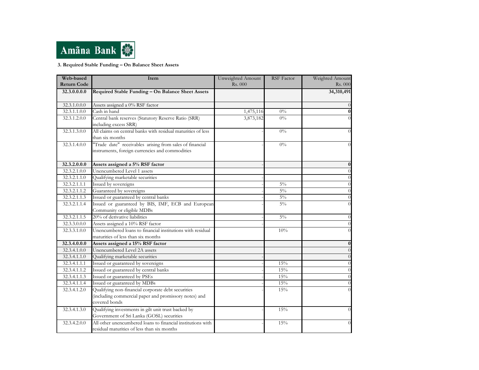

### 3. Required Stable Funding – On Balance Sheet Assets

| Required Stable Funding - On Balance Sheet Assets<br>34,310,491<br>32.3.0.0.0.0<br>32.3.1.0.0.0<br>Assets assigned a 0% RSF factor<br>Cash in hand<br>32.3.1.1.0.0<br>1,475,116<br>$0\%$<br>Central bank reserves (Statutory Reserve Ratio (SRR)<br>3,873,182<br>$0\%$<br>32.3.1.2.0.0<br>including excess SRR)<br>All claims on central banks with residual maturities of less<br>32.3.1.3.0.0<br>$0\%$<br>than six months<br>"Trade date" receivables arising from sales of financial<br>32.3.1.4.0.0<br>$0\%$<br>instruments, foreign currencies and commodities<br>32.3.2.0.0.0<br>Assets assigned a 5% RSF factor<br>Unencumbered Level 1 assets<br>32.3.2.1.0.0<br>32.3.2.1.1.0<br>Qualifying marketable securities<br>Issued by sovereigns<br>$5\%$<br>32.3.2.1.1.1<br>Guaranteed by sovereigns<br>$5\%$<br>32.3.2.1.1.2<br>Issued or guaranteed by central banks<br>$5\%$<br>32.3.2.1.1.3<br>Issued or guaranteed by BIS, IMF, ECB and European<br>$5\%$<br>32.3.2.1.1.4<br>Community or eligible MDBs<br>20% of derivative liabilities<br>32.3.2.1.1.5<br>$5\%$<br>32.3.3.0.0.0<br>Assets assigned a 10% RSF factor<br>Unencumbered loans to financial institutions with residual<br>32.3.3.1.0.0<br>10%<br>maturities of less than six months<br>32.3.4.0.0.0<br>Assets assigned a 15% RSF factor<br>Unencumbered Level 2A assets<br>32.3.4.1.0.0<br>Qualifying marketable securities<br>32.3.4.1.1.0<br>Issued or guaranteed by sovereigns<br>32.3.4.1.1.1<br>15%<br>Issued or guaranteed by central banks<br>15%<br>32.3.4.1.1.2<br>Issued or guaranteed by PSEs<br>15%<br>32.3.4.1.1.3<br>Issued or guaranteed by MDBs<br>$32.3.4.1.1.\overline{4}$<br>15%<br>Qualifying non-financial corporate debt securities<br>15%<br>32.3.4.1.2.0<br>(including commercial paper and promissory notes) and<br>covered bonds<br>Qualifying investments in gilt unit trust backed by<br>15%<br>32.3.4.1.3.0<br>Government of Sri Lanka (GOSL) securities<br>All other unencumbered loans to financial institutions with<br>32.3.4.2.0.0<br>15% | Web-based<br><b>Return Code</b> | <b>Item</b>                                 | Unweighted Amount<br>Rs. 000 | <b>RSF</b> Factor | Weighted Amount<br>Rs. 000 |
|-------------------------------------------------------------------------------------------------------------------------------------------------------------------------------------------------------------------------------------------------------------------------------------------------------------------------------------------------------------------------------------------------------------------------------------------------------------------------------------------------------------------------------------------------------------------------------------------------------------------------------------------------------------------------------------------------------------------------------------------------------------------------------------------------------------------------------------------------------------------------------------------------------------------------------------------------------------------------------------------------------------------------------------------------------------------------------------------------------------------------------------------------------------------------------------------------------------------------------------------------------------------------------------------------------------------------------------------------------------------------------------------------------------------------------------------------------------------------------------------------------------------------------------------------------------------------------------------------------------------------------------------------------------------------------------------------------------------------------------------------------------------------------------------------------------------------------------------------------------------------------------------------------------------------------------------------------------------------------------------------------------------------------------------------|---------------------------------|---------------------------------------------|------------------------------|-------------------|----------------------------|
|                                                                                                                                                                                                                                                                                                                                                                                                                                                                                                                                                                                                                                                                                                                                                                                                                                                                                                                                                                                                                                                                                                                                                                                                                                                                                                                                                                                                                                                                                                                                                                                                                                                                                                                                                                                                                                                                                                                                                                                                                                                 |                                 |                                             |                              |                   |                            |
|                                                                                                                                                                                                                                                                                                                                                                                                                                                                                                                                                                                                                                                                                                                                                                                                                                                                                                                                                                                                                                                                                                                                                                                                                                                                                                                                                                                                                                                                                                                                                                                                                                                                                                                                                                                                                                                                                                                                                                                                                                                 |                                 |                                             |                              |                   |                            |
|                                                                                                                                                                                                                                                                                                                                                                                                                                                                                                                                                                                                                                                                                                                                                                                                                                                                                                                                                                                                                                                                                                                                                                                                                                                                                                                                                                                                                                                                                                                                                                                                                                                                                                                                                                                                                                                                                                                                                                                                                                                 |                                 |                                             |                              |                   |                            |
|                                                                                                                                                                                                                                                                                                                                                                                                                                                                                                                                                                                                                                                                                                                                                                                                                                                                                                                                                                                                                                                                                                                                                                                                                                                                                                                                                                                                                                                                                                                                                                                                                                                                                                                                                                                                                                                                                                                                                                                                                                                 |                                 |                                             |                              |                   | $\bf{0}$                   |
|                                                                                                                                                                                                                                                                                                                                                                                                                                                                                                                                                                                                                                                                                                                                                                                                                                                                                                                                                                                                                                                                                                                                                                                                                                                                                                                                                                                                                                                                                                                                                                                                                                                                                                                                                                                                                                                                                                                                                                                                                                                 |                                 |                                             |                              |                   |                            |
|                                                                                                                                                                                                                                                                                                                                                                                                                                                                                                                                                                                                                                                                                                                                                                                                                                                                                                                                                                                                                                                                                                                                                                                                                                                                                                                                                                                                                                                                                                                                                                                                                                                                                                                                                                                                                                                                                                                                                                                                                                                 |                                 |                                             |                              |                   |                            |
|                                                                                                                                                                                                                                                                                                                                                                                                                                                                                                                                                                                                                                                                                                                                                                                                                                                                                                                                                                                                                                                                                                                                                                                                                                                                                                                                                                                                                                                                                                                                                                                                                                                                                                                                                                                                                                                                                                                                                                                                                                                 |                                 |                                             |                              |                   |                            |
|                                                                                                                                                                                                                                                                                                                                                                                                                                                                                                                                                                                                                                                                                                                                                                                                                                                                                                                                                                                                                                                                                                                                                                                                                                                                                                                                                                                                                                                                                                                                                                                                                                                                                                                                                                                                                                                                                                                                                                                                                                                 |                                 |                                             |                              |                   | 0                          |
|                                                                                                                                                                                                                                                                                                                                                                                                                                                                                                                                                                                                                                                                                                                                                                                                                                                                                                                                                                                                                                                                                                                                                                                                                                                                                                                                                                                                                                                                                                                                                                                                                                                                                                                                                                                                                                                                                                                                                                                                                                                 |                                 |                                             |                              |                   | $\theta$                   |
|                                                                                                                                                                                                                                                                                                                                                                                                                                                                                                                                                                                                                                                                                                                                                                                                                                                                                                                                                                                                                                                                                                                                                                                                                                                                                                                                                                                                                                                                                                                                                                                                                                                                                                                                                                                                                                                                                                                                                                                                                                                 |                                 |                                             |                              |                   | $\theta$                   |
|                                                                                                                                                                                                                                                                                                                                                                                                                                                                                                                                                                                                                                                                                                                                                                                                                                                                                                                                                                                                                                                                                                                                                                                                                                                                                                                                                                                                                                                                                                                                                                                                                                                                                                                                                                                                                                                                                                                                                                                                                                                 |                                 |                                             |                              |                   | $\theta$                   |
|                                                                                                                                                                                                                                                                                                                                                                                                                                                                                                                                                                                                                                                                                                                                                                                                                                                                                                                                                                                                                                                                                                                                                                                                                                                                                                                                                                                                                                                                                                                                                                                                                                                                                                                                                                                                                                                                                                                                                                                                                                                 |                                 |                                             |                              |                   | $\theta$                   |
|                                                                                                                                                                                                                                                                                                                                                                                                                                                                                                                                                                                                                                                                                                                                                                                                                                                                                                                                                                                                                                                                                                                                                                                                                                                                                                                                                                                                                                                                                                                                                                                                                                                                                                                                                                                                                                                                                                                                                                                                                                                 |                                 |                                             |                              |                   | $\theta$                   |
|                                                                                                                                                                                                                                                                                                                                                                                                                                                                                                                                                                                                                                                                                                                                                                                                                                                                                                                                                                                                                                                                                                                                                                                                                                                                                                                                                                                                                                                                                                                                                                                                                                                                                                                                                                                                                                                                                                                                                                                                                                                 |                                 |                                             |                              |                   |                            |
|                                                                                                                                                                                                                                                                                                                                                                                                                                                                                                                                                                                                                                                                                                                                                                                                                                                                                                                                                                                                                                                                                                                                                                                                                                                                                                                                                                                                                                                                                                                                                                                                                                                                                                                                                                                                                                                                                                                                                                                                                                                 |                                 |                                             |                              |                   |                            |
|                                                                                                                                                                                                                                                                                                                                                                                                                                                                                                                                                                                                                                                                                                                                                                                                                                                                                                                                                                                                                                                                                                                                                                                                                                                                                                                                                                                                                                                                                                                                                                                                                                                                                                                                                                                                                                                                                                                                                                                                                                                 |                                 |                                             |                              |                   | $\theta$                   |
|                                                                                                                                                                                                                                                                                                                                                                                                                                                                                                                                                                                                                                                                                                                                                                                                                                                                                                                                                                                                                                                                                                                                                                                                                                                                                                                                                                                                                                                                                                                                                                                                                                                                                                                                                                                                                                                                                                                                                                                                                                                 |                                 |                                             |                              |                   | $\theta$                   |
|                                                                                                                                                                                                                                                                                                                                                                                                                                                                                                                                                                                                                                                                                                                                                                                                                                                                                                                                                                                                                                                                                                                                                                                                                                                                                                                                                                                                                                                                                                                                                                                                                                                                                                                                                                                                                                                                                                                                                                                                                                                 |                                 |                                             |                              |                   |                            |
|                                                                                                                                                                                                                                                                                                                                                                                                                                                                                                                                                                                                                                                                                                                                                                                                                                                                                                                                                                                                                                                                                                                                                                                                                                                                                                                                                                                                                                                                                                                                                                                                                                                                                                                                                                                                                                                                                                                                                                                                                                                 |                                 |                                             |                              |                   |                            |
|                                                                                                                                                                                                                                                                                                                                                                                                                                                                                                                                                                                                                                                                                                                                                                                                                                                                                                                                                                                                                                                                                                                                                                                                                                                                                                                                                                                                                                                                                                                                                                                                                                                                                                                                                                                                                                                                                                                                                                                                                                                 |                                 |                                             |                              |                   | 0                          |
|                                                                                                                                                                                                                                                                                                                                                                                                                                                                                                                                                                                                                                                                                                                                                                                                                                                                                                                                                                                                                                                                                                                                                                                                                                                                                                                                                                                                                                                                                                                                                                                                                                                                                                                                                                                                                                                                                                                                                                                                                                                 |                                 |                                             |                              |                   |                            |
|                                                                                                                                                                                                                                                                                                                                                                                                                                                                                                                                                                                                                                                                                                                                                                                                                                                                                                                                                                                                                                                                                                                                                                                                                                                                                                                                                                                                                                                                                                                                                                                                                                                                                                                                                                                                                                                                                                                                                                                                                                                 |                                 |                                             |                              |                   |                            |
|                                                                                                                                                                                                                                                                                                                                                                                                                                                                                                                                                                                                                                                                                                                                                                                                                                                                                                                                                                                                                                                                                                                                                                                                                                                                                                                                                                                                                                                                                                                                                                                                                                                                                                                                                                                                                                                                                                                                                                                                                                                 |                                 |                                             |                              |                   |                            |
|                                                                                                                                                                                                                                                                                                                                                                                                                                                                                                                                                                                                                                                                                                                                                                                                                                                                                                                                                                                                                                                                                                                                                                                                                                                                                                                                                                                                                                                                                                                                                                                                                                                                                                                                                                                                                                                                                                                                                                                                                                                 |                                 |                                             |                              |                   | $\Omega$                   |
|                                                                                                                                                                                                                                                                                                                                                                                                                                                                                                                                                                                                                                                                                                                                                                                                                                                                                                                                                                                                                                                                                                                                                                                                                                                                                                                                                                                                                                                                                                                                                                                                                                                                                                                                                                                                                                                                                                                                                                                                                                                 |                                 |                                             |                              |                   | $\Omega$                   |
|                                                                                                                                                                                                                                                                                                                                                                                                                                                                                                                                                                                                                                                                                                                                                                                                                                                                                                                                                                                                                                                                                                                                                                                                                                                                                                                                                                                                                                                                                                                                                                                                                                                                                                                                                                                                                                                                                                                                                                                                                                                 |                                 |                                             |                              |                   |                            |
|                                                                                                                                                                                                                                                                                                                                                                                                                                                                                                                                                                                                                                                                                                                                                                                                                                                                                                                                                                                                                                                                                                                                                                                                                                                                                                                                                                                                                                                                                                                                                                                                                                                                                                                                                                                                                                                                                                                                                                                                                                                 |                                 |                                             |                              |                   |                            |
|                                                                                                                                                                                                                                                                                                                                                                                                                                                                                                                                                                                                                                                                                                                                                                                                                                                                                                                                                                                                                                                                                                                                                                                                                                                                                                                                                                                                                                                                                                                                                                                                                                                                                                                                                                                                                                                                                                                                                                                                                                                 |                                 |                                             |                              |                   |                            |
|                                                                                                                                                                                                                                                                                                                                                                                                                                                                                                                                                                                                                                                                                                                                                                                                                                                                                                                                                                                                                                                                                                                                                                                                                                                                                                                                                                                                                                                                                                                                                                                                                                                                                                                                                                                                                                                                                                                                                                                                                                                 |                                 |                                             |                              |                   |                            |
|                                                                                                                                                                                                                                                                                                                                                                                                                                                                                                                                                                                                                                                                                                                                                                                                                                                                                                                                                                                                                                                                                                                                                                                                                                                                                                                                                                                                                                                                                                                                                                                                                                                                                                                                                                                                                                                                                                                                                                                                                                                 |                                 |                                             |                              |                   |                            |
|                                                                                                                                                                                                                                                                                                                                                                                                                                                                                                                                                                                                                                                                                                                                                                                                                                                                                                                                                                                                                                                                                                                                                                                                                                                                                                                                                                                                                                                                                                                                                                                                                                                                                                                                                                                                                                                                                                                                                                                                                                                 |                                 |                                             |                              |                   |                            |
|                                                                                                                                                                                                                                                                                                                                                                                                                                                                                                                                                                                                                                                                                                                                                                                                                                                                                                                                                                                                                                                                                                                                                                                                                                                                                                                                                                                                                                                                                                                                                                                                                                                                                                                                                                                                                                                                                                                                                                                                                                                 |                                 |                                             |                              |                   |                            |
|                                                                                                                                                                                                                                                                                                                                                                                                                                                                                                                                                                                                                                                                                                                                                                                                                                                                                                                                                                                                                                                                                                                                                                                                                                                                                                                                                                                                                                                                                                                                                                                                                                                                                                                                                                                                                                                                                                                                                                                                                                                 |                                 | residual maturities of less than six months |                              |                   |                            |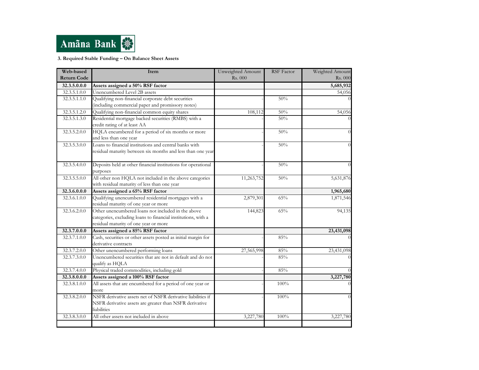

3. Required Stable Funding – On Balance Sheet Assets

| Web-based          | Item                                                                                                                                                         | Unweighted Amount | <b>RSF</b> Factor | Weighted Amount |
|--------------------|--------------------------------------------------------------------------------------------------------------------------------------------------------------|-------------------|-------------------|-----------------|
| <b>Return Code</b> |                                                                                                                                                              | Rs. 000           |                   | Rs. 000         |
| 32.3.5.0.0.0       | Assets assigned a 50% RSF factor                                                                                                                             |                   |                   | 5,685,932       |
| 32.3.5.1.0.0       | Unencumbered Level 2B assets                                                                                                                                 |                   |                   | 54,056          |
| 32.3.5.1.1.0       | Qualifying non-financial corporate debt securities                                                                                                           |                   | 50%               |                 |
|                    | (including commercial paper and promissory notes)                                                                                                            |                   |                   |                 |
| 32.3.5.1.2.0       | Qualifying non-financial common equity shares                                                                                                                | 108,112           | 50%               | 54,056          |
| 32.3.5.1.3.0       | Residential mortgage backed securities (RMBS) with a<br>credit rating of at least AA                                                                         |                   | 50%               |                 |
| 32.3.5.2.0.0       | HQLA encumbered for a period of six months or more<br>and less than one year                                                                                 |                   | 50%               | $\Omega$        |
| 32.3.5.3.0.0       | Loans to financial institutions and central banks with<br>residual maturity between six months and less than one year                                        |                   | 50%               | $\Omega$        |
| 32.3.5.4.0.0       | Deposits held at other financial institutions for operational<br>purposes                                                                                    |                   | 50%               | $\Omega$        |
| 32.3.5.5.0.0       | All other non HQLA not included in the above categories<br>with residual maturity of less than one year                                                      | 11,263,752        | 50%               | 5,631,876       |
| 32.3.6.0.0.0       | Assets assigned a 65% RSF factor                                                                                                                             |                   |                   | 1,965,680       |
| 32.3.6.1.0.0       | Qualifying unencumbered residential mortgages with a<br>residual maturity of one year or more                                                                | 2,879,301         | 65%               | 1,871,546       |
| 32.3.6.2.0.0       | Other unencumbered loans not included in the above<br>categories, excluding loans to financial institutions, with a<br>residual maturity of one year or more | 144,823           | 65%               | 94,135          |
| 32.3.7.0.0.0       | Assets assigned a 85% RSF factor                                                                                                                             |                   |                   | 23,431,098      |
| 32.3.7.1.0.0       | Cash, securities or other assets posted as initial margin for<br>derivative contracts                                                                        |                   | 85%               |                 |
| 32.3.7.2.0.0       | Other unencumbered performing loans                                                                                                                          | 27,565,998        | 85%               | 23,431,098      |
| 32.3.7.3.0.0       | Unencumbered securities that are not in default and do not<br>qualify as HQLA                                                                                |                   | 85%               |                 |
| 32.3.7.4.0.0       | Physical traded commodities, including gold                                                                                                                  |                   | 85%               |                 |
| 32.3.8.0.0.0       | Assets assigned a 100% RSF factor                                                                                                                            |                   |                   | 3,227,780       |
| 32.3.8.1.0.0       | All assets that are encumbered for a period of one year or<br>more                                                                                           |                   | 100%              |                 |
| 32.3.8.2.0.0       | NSFR derivative assets net of NSFR derivative liabilities if<br>NSFR derivative assets are greater than NSFR derivative<br>liabilities                       |                   | 100%              |                 |
| 32.3.8.3.0.0       | All other assets not included in above                                                                                                                       | 3,227,780         | 100%              | 3,227,780       |